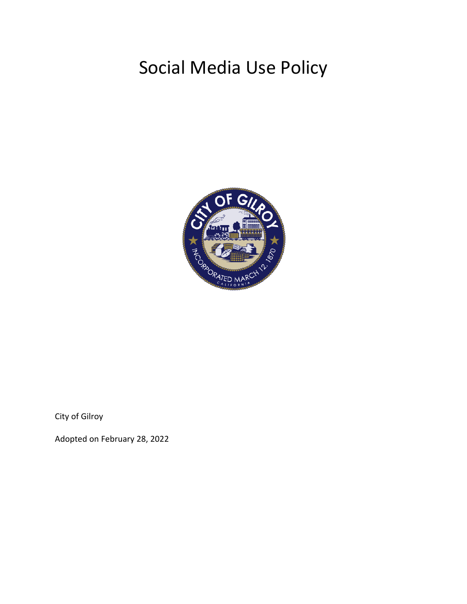# Social Media Use Policy



City of Gilroy

Adopted on February 28, 2022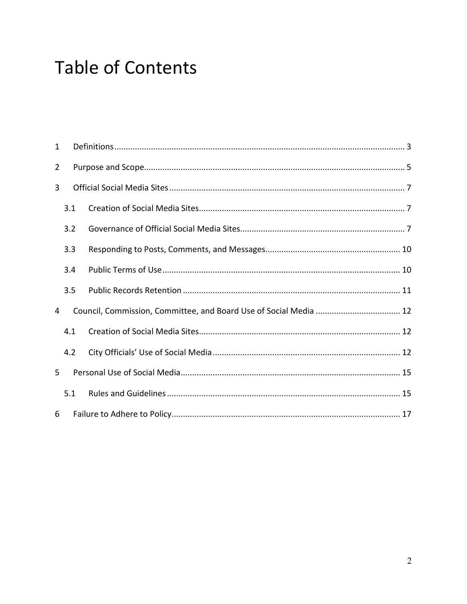# **Table of Contents**

| 1              |     |  |  |  |
|----------------|-----|--|--|--|
| $\overline{2}$ |     |  |  |  |
| 3              |     |  |  |  |
|                | 3.1 |  |  |  |
|                | 3.2 |  |  |  |
|                | 3.3 |  |  |  |
|                | 3.4 |  |  |  |
|                | 3.5 |  |  |  |
| 4              |     |  |  |  |
|                | 4.1 |  |  |  |
|                | 4.2 |  |  |  |
| 5              |     |  |  |  |
|                | 5.1 |  |  |  |
| 6              |     |  |  |  |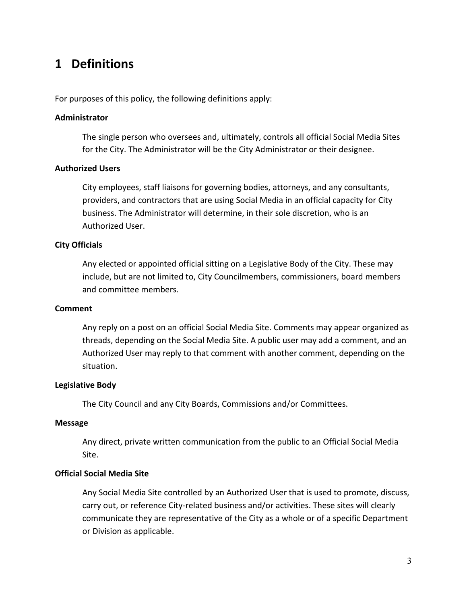## <span id="page-2-0"></span>**1 Definitions**

For purposes of this policy, the following definitions apply:

#### **Administrator**

The single person who oversees and, ultimately, controls all official Social Media Sites for the City. The Administrator will be the City Administrator or their designee.

### **Authorized Users**

City employees, staff liaisons for governing bodies, attorneys, and any consultants, providers, and contractors that are using Social Media in an official capacity for City business. The Administrator will determine, in their sole discretion, who is an Authorized User.

#### **City Officials**

Any elected or appointed official sitting on a Legislative Body of the City. These may include, but are not limited to, City Councilmembers, commissioners, board members and committee members.

#### **Comment**

Any reply on a post on an official Social Media Site. Comments may appear organized as threads, depending on the Social Media Site. A public user may add a comment, and an Authorized User may reply to that comment with another comment, depending on the situation.

#### **Legislative Body**

The City Council and any City Boards, Commissions and/or Committees.

#### **Message**

Any direct, private written communication from the public to an Official Social Media Site.

#### **Official Social Media Site**

Any Social Media Site controlled by an Authorized User that is used to promote, discuss, carry out, or reference City-related business and/or activities. These sites will clearly communicate they are representative of the City as a whole or of a specific Department or Division as applicable.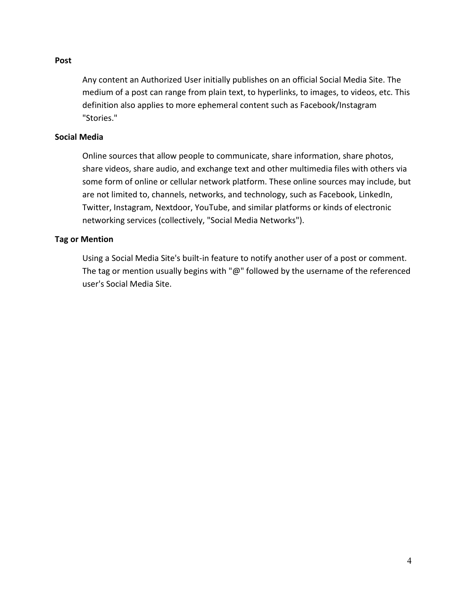#### **Post**

Any content an Authorized User initially publishes on an official Social Media Site. The medium of a post can range from plain text, to hyperlinks, to images, to videos, etc. This definition also applies to more ephemeral content such as Facebook/Instagram "Stories."

#### **Social Media**

Online sources that allow people to communicate, share information, share photos, share videos, share audio, and exchange text and other multimedia files with others via some form of online or cellular network platform. These online sources may include, but are not limited to, channels, networks, and technology, such as Facebook, LinkedIn, Twitter, Instagram, Nextdoor, YouTube, and similar platforms or kinds of electronic networking services (collectively, "Social Media Networks").

#### **Tag or Mention**

Using a Social Media Site's built-in feature to notify another user of a post or comment. The tag or mention usually begins with "@" followed by the username of the referenced user's Social Media Site.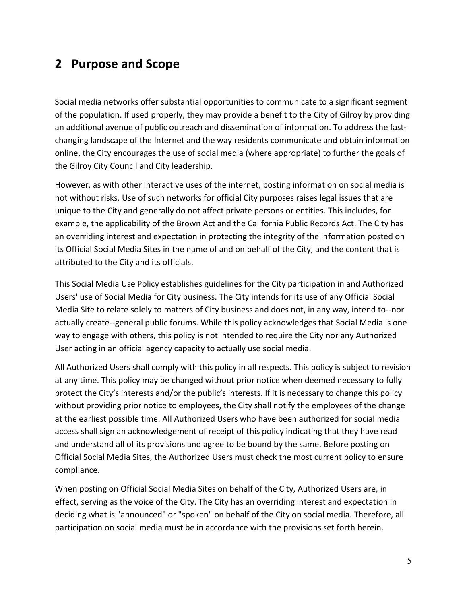## <span id="page-4-0"></span>**2 Purpose and Scope**

Social media networks offer substantial opportunities to communicate to a significant segment of the population. If used properly, they may provide a benefit to the City of Gilroy by providing an additional avenue of public outreach and dissemination of information. To address the fastchanging landscape of the Internet and the way residents communicate and obtain information online, the City encourages the use of social media (where appropriate) to further the goals of the Gilroy City Council and City leadership.

However, as with other interactive uses of the internet, posting information on social media is not without risks. Use of such networks for official City purposes raises legal issues that are unique to the City and generally do not affect private persons or entities. This includes, for example, the applicability of the Brown Act and the California Public Records Act. The City has an overriding interest and expectation in protecting the integrity of the information posted on its Official Social Media Sites in the name of and on behalf of the City, and the content that is attributed to the City and its officials.

This Social Media Use Policy establishes guidelines for the City participation in and Authorized Users' use of Social Media for City business. The City intends for its use of any Official Social Media Site to relate solely to matters of City business and does not, in any way, intend to--nor actually create--general public forums. While this policy acknowledges that Social Media is one way to engage with others, this policy is not intended to require the City nor any Authorized User acting in an official agency capacity to actually use social media.

All Authorized Users shall comply with this policy in all respects. This policy is subject to revision at any time. This policy may be changed without prior notice when deemed necessary to fully protect the City's interests and/or the public's interests. If it is necessary to change this policy without providing prior notice to employees, the City shall notify the employees of the change at the earliest possible time. All Authorized Users who have been authorized for social media access shall sign an acknowledgement of receipt of this policy indicating that they have read and understand all of its provisions and agree to be bound by the same. Before posting on Official Social Media Sites, the Authorized Users must check the most current policy to ensure compliance.

When posting on Official Social Media Sites on behalf of the City, Authorized Users are, in effect, serving as the voice of the City. The City has an overriding interest and expectation in deciding what is "announced" or "spoken" on behalf of the City on social media. Therefore, all participation on social media must be in accordance with the provisions set forth herein.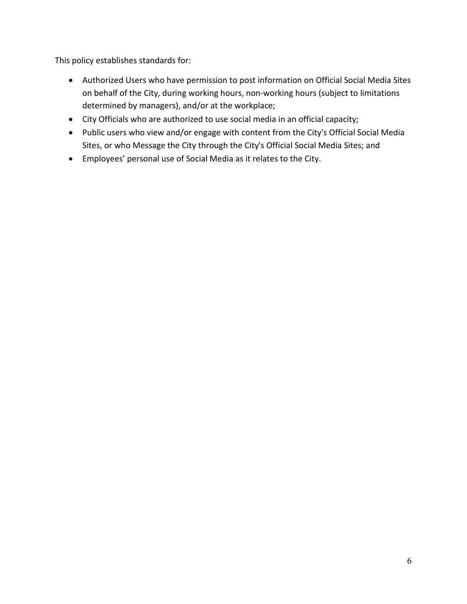This policy establishes standards for:

- Authorized Users who have permission to post information on Official Social Media Sites on behalf of the City, during working hours, non-working hours (subject to limitations determined by managers), and/or at the workplace;
- City Officials who are authorized to use social media in an official capacity;
- Public users who view and/or engage with content from the City's Official Social Media Sites, or who Message the City through the City's Official Social Media Sites; and
- Employees' personal use of Social Media as it relates to the City.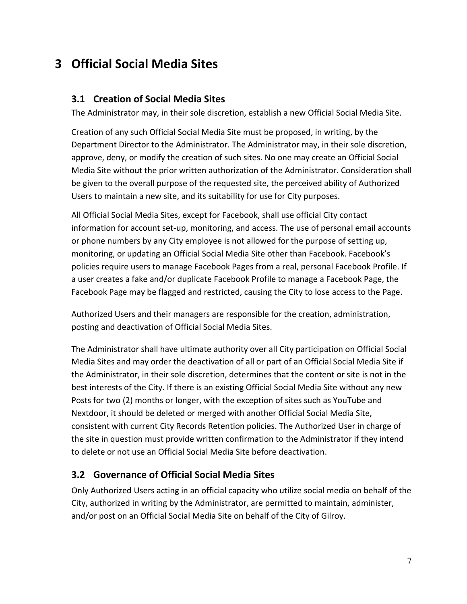## <span id="page-6-1"></span><span id="page-6-0"></span>**3 Official Social Media Sites**

### **3.1 Creation of Social Media Sites**

The Administrator may, in their sole discretion, establish a new Official Social Media Site.

Creation of any such Official Social Media Site must be proposed, in writing, by the Department Director to the Administrator. The Administrator may, in their sole discretion, approve, deny, or modify the creation of such sites. No one may create an Official Social Media Site without the prior written authorization of the Administrator. Consideration shall be given to the overall purpose of the requested site, the perceived ability of Authorized Users to maintain a new site, and its suitability for use for City purposes.

All Official Social Media Sites, except for Facebook, shall use official City contact information for account set-up, monitoring, and access. The use of personal email accounts or phone numbers by any City employee is not allowed for the purpose of setting up, monitoring, or updating an Official Social Media Site other than Facebook. Facebook's policies require users to manage Facebook Pages from a real, personal Facebook Profile. If a user creates a fake and/or duplicate Facebook Profile to manage a Facebook Page, the Facebook Page may be flagged and restricted, causing the City to lose access to the Page.

Authorized Users and their managers are responsible for the creation, administration, posting and deactivation of Official Social Media Sites.

The Administrator shall have ultimate authority over all City participation on Official Social Media Sites and may order the deactivation of all or part of an Official Social Media Site if the Administrator, in their sole discretion, determines that the content or site is not in the best interests of the City. If there is an existing Official Social Media Site without any new Posts for two (2) months or longer, with the exception of sites such as YouTube and Nextdoor, it should be deleted or merged with another Official Social Media Site, consistent with current City Records Retention policies. The Authorized User in charge of the site in question must provide written confirmation to the Administrator if they intend to delete or not use an Official Social Media Site before deactivation.

### <span id="page-6-2"></span>**3.2 Governance of Official Social Media Sites**

Only Authorized Users acting in an official capacity who utilize social media on behalf of the City, authorized in writing by the Administrator, are permitted to maintain, administer, and/or post on an Official Social Media Site on behalf of the City of Gilroy.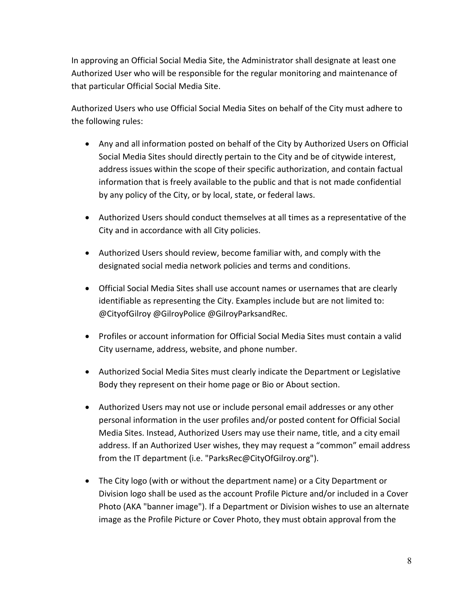In approving an Official Social Media Site, the Administrator shall designate at least one Authorized User who will be responsible for the regular monitoring and maintenance of that particular Official Social Media Site.

Authorized Users who use Official Social Media Sites on behalf of the City must adhere to the following rules:

- Any and all information posted on behalf of the City by Authorized Users on Official Social Media Sites should directly pertain to the City and be of citywide interest, address issues within the scope of their specific authorization, and contain factual information that is freely available to the public and that is not made confidential by any policy of the City, or by local, state, or federal laws.
- Authorized Users should conduct themselves at all times as a representative of the City and in accordance with all City policies.
- Authorized Users should review, become familiar with, and comply with the designated social media network policies and terms and conditions.
- Official Social Media Sites shall use account names or usernames that are clearly identifiable as representing the City. Examples include but are not limited to: @CityofGilroy @GilroyPolice @GilroyParksandRec.
- Profiles or account information for Official Social Media Sites must contain a valid City username, address, website, and phone number.
- Authorized Social Media Sites must clearly indicate the Department or Legislative Body they represent on their home page or Bio or About section.
- Authorized Users may not use or include personal email addresses or any other personal information in the user profiles and/or posted content for Official Social Media Sites. Instead, Authorized Users may use their name, title, and a city email address. If an Authorized User wishes, they may request a "common" email address from the IT department (i.e. "ParksRec@CityOfGilroy.org").
- The City logo (with or without the department name) or a City Department or Division logo shall be used as the account Profile Picture and/or included in a Cover Photo (AKA "banner image"). If a Department or Division wishes to use an alternate image as the Profile Picture or Cover Photo, they must obtain approval from the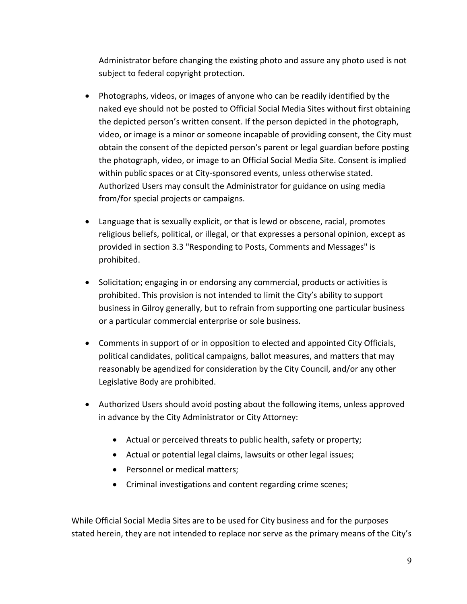Administrator before changing the existing photo and assure any photo used is not subject to federal copyright protection.

- Photographs, videos, or images of anyone who can be readily identified by the naked eye should not be posted to Official Social Media Sites without first obtaining the depicted person's written consent. If the person depicted in the photograph, video, or image is a minor or someone incapable of providing consent, the City must obtain the consent of the depicted person's parent or legal guardian before posting the photograph, video, or image to an Official Social Media Site. Consent is implied within public spaces or at City-sponsored events, unless otherwise stated. Authorized Users may consult the Administrator for guidance on using media from/for special projects or campaigns.
- Language that is sexually explicit, or that is lewd or obscene, racial, promotes religious beliefs, political, or illegal, or that expresses a personal opinion, except as provided in section 3.3 "Responding to Posts, Comments and Messages" is prohibited.
- Solicitation; engaging in or endorsing any commercial, products or activities is prohibited. This provision is not intended to limit the City's ability to support business in Gilroy generally, but to refrain from supporting one particular business or a particular commercial enterprise or sole business.
- Comments in support of or in opposition to elected and appointed City Officials, political candidates, political campaigns, ballot measures, and matters that may reasonably be agendized for consideration by the City Council, and/or any other Legislative Body are prohibited.
- Authorized Users should avoid posting about the following items, unless approved in advance by the City Administrator or City Attorney:
	- Actual or perceived threats to public health, safety or property;
	- Actual or potential legal claims, lawsuits or other legal issues;
	- Personnel or medical matters;
	- Criminal investigations and content regarding crime scenes;

While Official Social Media Sites are to be used for City business and for the purposes stated herein, they are not intended to replace nor serve as the primary means of the City's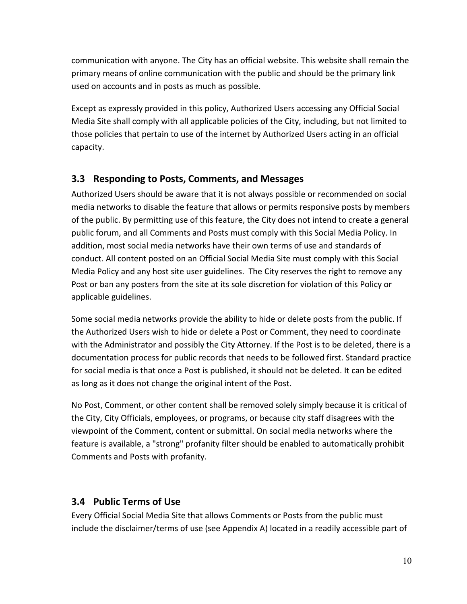communication with anyone. The City has an official website. This website shall remain the primary means of online communication with the public and should be the primary link used on accounts and in posts as much as possible.

Except as expressly provided in this policy, Authorized Users accessing any Official Social Media Site shall comply with all applicable policies of the City, including, but not limited to those policies that pertain to use of the internet by Authorized Users acting in an official capacity.

## <span id="page-9-0"></span>**3.3 Responding to Posts, Comments, and Messages**

Authorized Users should be aware that it is not always possible or recommended on social media networks to disable the feature that allows or permits responsive posts by members of the public. By permitting use of this feature, the City does not intend to create a general public forum, and all Comments and Posts must comply with this Social Media Policy. In addition, most social media networks have their own terms of use and standards of conduct. All content posted on an Official Social Media Site must comply with this Social Media Policy and any host site user guidelines. The City reserves the right to remove any Post or ban any posters from the site at its sole discretion for violation of this Policy or applicable guidelines.

Some social media networks provide the ability to hide or delete posts from the public. If the Authorized Users wish to hide or delete a Post or Comment, they need to coordinate with the Administrator and possibly the City Attorney. If the Post is to be deleted, there is a documentation process for public records that needs to be followed first. Standard practice for social media is that once a Post is published, it should not be deleted. It can be edited as long as it does not change the original intent of the Post.

No Post, Comment, or other content shall be removed solely simply because it is critical of the City, City Officials, employees, or programs, or because city staff disagrees with the viewpoint of the Comment, content or submittal. On social media networks where the feature is available, a "strong" profanity filter should be enabled to automatically prohibit Comments and Posts with profanity.

## <span id="page-9-1"></span>**3.4 Public Terms of Use**

Every Official Social Media Site that allows Comments or Posts from the public must include the disclaimer/terms of use (see Appendix A) located in a readily accessible part of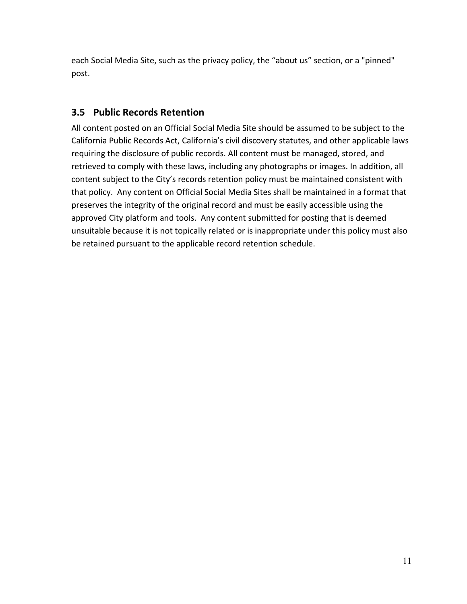each Social Media Site, such as the privacy policy, the "about us" section, or a "pinned" post.

## <span id="page-10-0"></span>**3.5 Public Records Retention**

All content posted on an Official Social Media Site should be assumed to be subject to the California Public Records Act, California's civil discovery statutes, and other applicable laws requiring the disclosure of public records. All content must be managed, stored, and retrieved to comply with these laws, including any photographs or images. In addition, all content subject to the City's records retention policy must be maintained consistent with that policy. Any content on Official Social Media Sites shall be maintained in a format that preserves the integrity of the original record and must be easily accessible using the approved City platform and tools. Any content submitted for posting that is deemed unsuitable because it is not topically related or is inappropriate under this policy must also be retained pursuant to the applicable record retention schedule.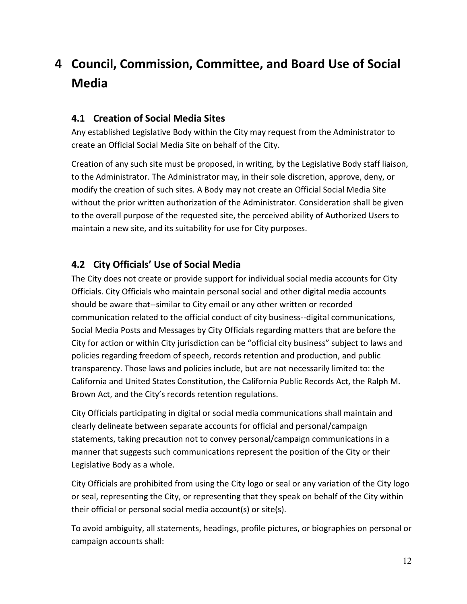## <span id="page-11-0"></span>**4 Council, Commission, Committee, and Board Use of Social Media**

## <span id="page-11-1"></span>**4.1 Creation of Social Media Sites**

Any established Legislative Body within the City may request from the Administrator to create an Official Social Media Site on behalf of the City.

Creation of any such site must be proposed, in writing, by the Legislative Body staff liaison, to the Administrator. The Administrator may, in their sole discretion, approve, deny, or modify the creation of such sites. A Body may not create an Official Social Media Site without the prior written authorization of the Administrator. Consideration shall be given to the overall purpose of the requested site, the perceived ability of Authorized Users to maintain a new site, and its suitability for use for City purposes.

### <span id="page-11-2"></span>**4.2 City Officials' Use of Social Media**

The City does not create or provide support for individual social media accounts for City Officials. City Officials who maintain personal social and other digital media accounts should be aware that--similar to City email or any other written or recorded communication related to the official conduct of city business--digital communications, Social Media Posts and Messages by City Officials regarding matters that are before the City for action or within City jurisdiction can be "official city business" subject to laws and policies regarding freedom of speech, records retention and production, and public transparency. Those laws and policies include, but are not necessarily limited to: the California and United States Constitution, the California Public Records Act, the Ralph M. Brown Act, and the City's records retention regulations.

City Officials participating in digital or social media communications shall maintain and clearly delineate between separate accounts for official and personal/campaign statements, taking precaution not to convey personal/campaign communications in a manner that suggests such communications represent the position of the City or their Legislative Body as a whole.

City Officials are prohibited from using the City logo or seal or any variation of the City logo or seal, representing the City, or representing that they speak on behalf of the City within their official or personal social media account(s) or site(s).

To avoid ambiguity, all statements, headings, profile pictures, or biographies on personal or campaign accounts shall: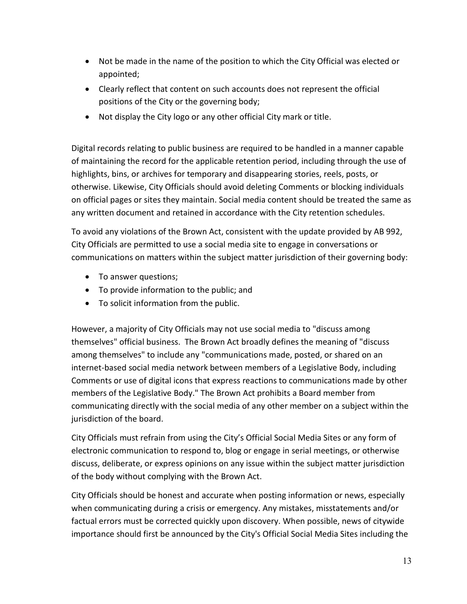- Not be made in the name of the position to which the City Official was elected or appointed;
- Clearly reflect that content on such accounts does not represent the official positions of the City or the governing body;
- Not display the City logo or any other official City mark or title.

Digital records relating to public business are required to be handled in a manner capable of maintaining the record for the applicable retention period, including through the use of highlights, bins, or archives for temporary and disappearing stories, reels, posts, or otherwise. Likewise, City Officials should avoid deleting Comments or blocking individuals on official pages or sites they maintain. Social media content should be treated the same as any written document and retained in accordance with the City retention schedules.

To avoid any violations of the Brown Act, consistent with the update provided by AB 992, City Officials are permitted to use a social media site to engage in conversations or communications on matters within the subject matter jurisdiction of their governing body:

- To answer questions;
- To provide information to the public; and
- To solicit information from the public.

However, a majority of City Officials may not use social media to "discuss among themselves" official business. The Brown Act broadly defines the meaning of "discuss among themselves" to include any "communications made, posted, or shared on an internet-based social media network between members of a Legislative Body, including Comments or use of digital icons that express reactions to communications made by other members of the Legislative Body." The Brown Act prohibits a Board member from communicating directly with the social media of any other member on a subject within the jurisdiction of the board.

City Officials must refrain from using the City's Official Social Media Sites or any form of electronic communication to respond to, blog or engage in serial meetings, or otherwise discuss, deliberate, or express opinions on any issue within the subject matter jurisdiction of the body without complying with the Brown Act.

City Officials should be honest and accurate when posting information or news, especially when communicating during a crisis or emergency. Any mistakes, misstatements and/or factual errors must be corrected quickly upon discovery. When possible, news of citywide importance should first be announced by the City's Official Social Media Sites including the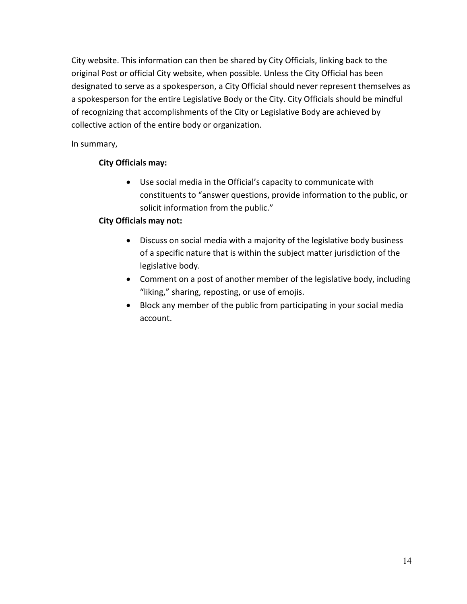City website. This information can then be shared by City Officials, linking back to the original Post or official City website, when possible. Unless the City Official has been designated to serve as a spokesperson, a City Official should never represent themselves as a spokesperson for the entire Legislative Body or the City. City Officials should be mindful of recognizing that accomplishments of the City or Legislative Body are achieved by collective action of the entire body or organization.

In summary,

### **City Officials may:**

• Use social media in the Official's capacity to communicate with constituents to "answer questions, provide information to the public, or solicit information from the public."

### **City Officials may not:**

- Discuss on social media with a majority of the legislative body business of a specific nature that is within the subject matter jurisdiction of the legislative body.
- Comment on a post of another member of the legislative body, including "liking," sharing, reposting, or use of emojis.
- <span id="page-13-0"></span>• Block any member of the public from participating in your social media account.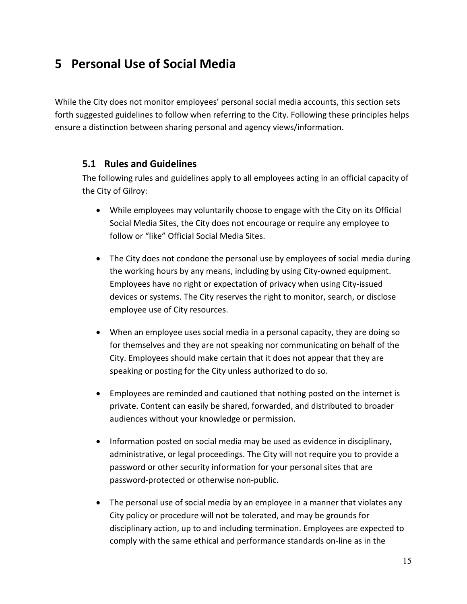## **5 Personal Use of Social Media**

While the City does not monitor employees' personal social media accounts, this section sets forth suggested guidelines to follow when referring to the City. Following these principles helps ensure a distinction between sharing personal and agency views/information.

### <span id="page-14-0"></span>**5.1 Rules and Guidelines**

The following rules and guidelines apply to all employees acting in an official capacity of the City of Gilroy:

- While employees may voluntarily choose to engage with the City on its Official Social Media Sites, the City does not encourage or require any employee to follow or "like" Official Social Media Sites.
- The City does not condone the personal use by employees of social media during the working hours by any means, including by using City-owned equipment. Employees have no right or expectation of privacy when using City-issued devices or systems. The City reserves the right to monitor, search, or disclose employee use of City resources.
- When an employee uses social media in a personal capacity, they are doing so for themselves and they are not speaking nor communicating on behalf of the City. Employees should make certain that it does not appear that they are speaking or posting for the City unless authorized to do so.
- Employees are reminded and cautioned that nothing posted on the internet is private. Content can easily be shared, forwarded, and distributed to broader audiences without your knowledge or permission.
- Information posted on social media may be used as evidence in disciplinary, administrative, or legal proceedings. The City will not require you to provide a password or other security information for your personal sites that are password-protected or otherwise non-public.
- The personal use of social media by an employee in a manner that violates any City policy or procedure will not be tolerated, and may be grounds for disciplinary action, up to and including termination. Employees are expected to comply with the same ethical and performance standards on-line as in the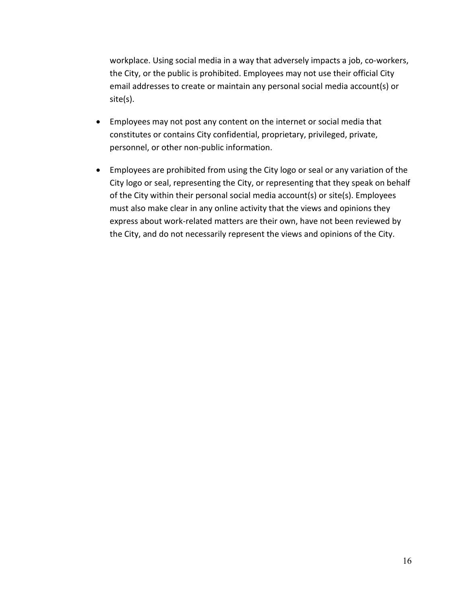workplace. Using social media in a way that adversely impacts a job, co-workers, the City, or the public is prohibited. Employees may not use their official City email addresses to create or maintain any personal social media account(s) or site(s).

- Employees may not post any content on the internet or social media that constitutes or contains City confidential, proprietary, privileged, private, personnel, or other non-public information.
- Employees are prohibited from using the City logo or seal or any variation of the City logo or seal, representing the City, or representing that they speak on behalf of the City within their personal social media account(s) or site(s). Employees must also make clear in any online activity that the views and opinions they express about work-related matters are their own, have not been reviewed by the City, and do not necessarily represent the views and opinions of the City.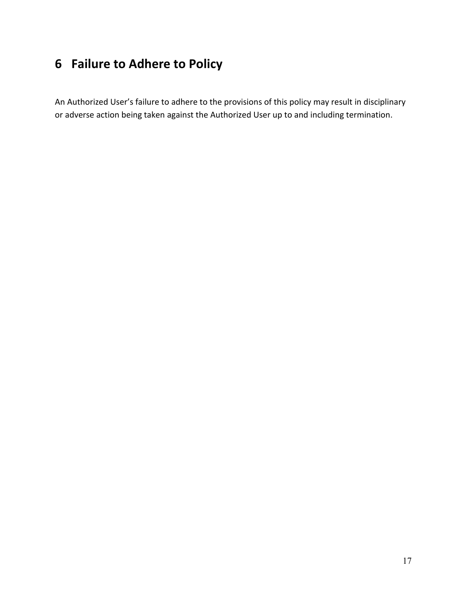## <span id="page-16-0"></span>**6 Failure to Adhere to Policy**

An Authorized User's failure to adhere to the provisions of this policy may result in disciplinary or adverse action being taken against the Authorized User up to and including termination.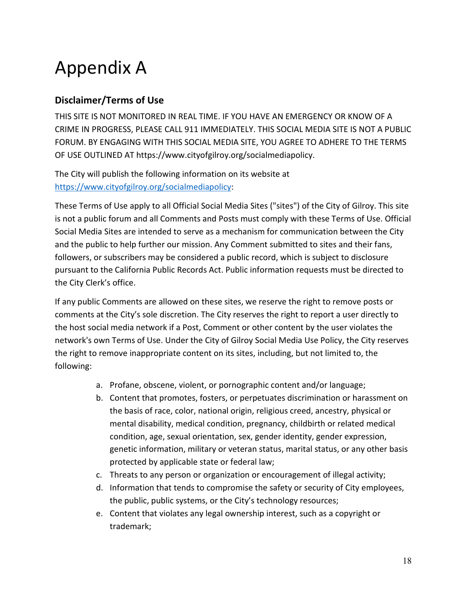# Appendix A

## **Disclaimer/Terms of Use**

THIS SITE IS NOT MONITORED IN REAL TIME. IF YOU HAVE AN EMERGENCY OR KNOW OF A CRIME IN PROGRESS, PLEASE CALL 911 IMMEDIATELY. THIS SOCIAL MEDIA SITE IS NOT A PUBLIC FORUM. BY ENGAGING WITH THIS SOCIAL MEDIA SITE, YOU AGREE TO ADHERE TO THE TERMS OF USE OUTLINED AT https://www.cityofgilroy.org/socialmediapolicy.

The City will publish the following information on its website at [https://www.cityofgilroy.org/socialmediapolicy:](https://www.cityofgilroy.org/socialmediapolicy)

These Terms of Use apply to all Official Social Media Sites ("sites") of the City of Gilroy. This site is not a public forum and all Comments and Posts must comply with these Terms of Use. Official Social Media Sites are intended to serve as a mechanism for communication between the City and the public to help further our mission. Any Comment submitted to sites and their fans, followers, or subscribers may be considered a public record, which is subject to disclosure pursuant to the California Public Records Act. Public information requests must be directed to the City Clerk's office.

If any public Comments are allowed on these sites, we reserve the right to remove posts or comments at the City's sole discretion. The City reserves the right to report a user directly to the host social media network if a Post, Comment or other content by the user violates the network's own Terms of Use. Under the City of Gilroy Social Media Use Policy, the City reserves the right to remove inappropriate content on its sites, including, but not limited to, the following:

- a. Profane, obscene, violent, or pornographic content and/or language;
- b. Content that promotes, fosters, or perpetuates discrimination or harassment on the basis of race, color, national origin, religious creed, ancestry, physical or mental disability, medical condition, pregnancy, childbirth or related medical condition, age, sexual orientation, sex, gender identity, gender expression, genetic information, military or veteran status, marital status, or any other basis protected by applicable state or federal law;
- c. Threats to any person or organization or encouragement of illegal activity;
- d. Information that tends to compromise the safety or security of City employees, the public, public systems, or the City's technology resources;
- e. Content that violates any legal ownership interest, such as a copyright or trademark;